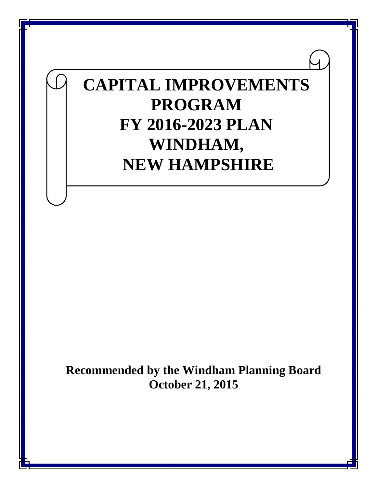# **CAPITAL IMPROVEMENTS PROGRAM FY 2016-2023 PLAN WINDHAM, NEW HAMPSHIRE**

**Recommended by the Windham Planning Board October 21, 2015**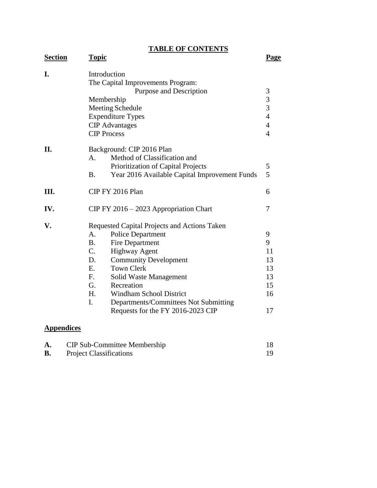**TABLE OF CONTENTS**

| <b>Section</b> | <b>Topic</b>                                               | <u>Page</u>                     |  |  |  |  |  |  |  |  |
|----------------|------------------------------------------------------------|---------------------------------|--|--|--|--|--|--|--|--|
| I.             | Introduction<br>The Capital Improvements Program:          |                                 |  |  |  |  |  |  |  |  |
|                | Purpose and Description                                    | $\mathfrak{Z}$<br>$\frac{3}{3}$ |  |  |  |  |  |  |  |  |
|                | Membership                                                 |                                 |  |  |  |  |  |  |  |  |
|                | <b>Meeting Schedule</b>                                    |                                 |  |  |  |  |  |  |  |  |
|                | <b>Expenditure Types</b>                                   | $\overline{4}$                  |  |  |  |  |  |  |  |  |
|                | <b>CIP</b> Advantages                                      | $\overline{4}$                  |  |  |  |  |  |  |  |  |
|                | <b>CIP</b> Process                                         | $\overline{4}$                  |  |  |  |  |  |  |  |  |
| II.            | Background: CIP 2016 Plan                                  |                                 |  |  |  |  |  |  |  |  |
|                | Method of Classification and<br>A.                         |                                 |  |  |  |  |  |  |  |  |
|                | Prioritization of Capital Projects                         | 5                               |  |  |  |  |  |  |  |  |
|                | <b>B.</b><br>Year 2016 Available Capital Improvement Funds | 5                               |  |  |  |  |  |  |  |  |
| III.           | CIP FY 2016 Plan                                           | 6                               |  |  |  |  |  |  |  |  |
| IV.            | $CIP$ FY 2016 – 2023 Appropriation Chart                   | 7                               |  |  |  |  |  |  |  |  |
| V.             | Requested Capital Projects and Actions Taken               |                                 |  |  |  |  |  |  |  |  |
|                | <b>Police Department</b><br>A.                             | 9                               |  |  |  |  |  |  |  |  |
|                | <b>B.</b><br>Fire Department                               | 9                               |  |  |  |  |  |  |  |  |
|                | $C_{\cdot}$<br><b>Highway Agent</b>                        | 11                              |  |  |  |  |  |  |  |  |
|                | D.<br><b>Community Development</b>                         | 13                              |  |  |  |  |  |  |  |  |
|                | <b>Town Clerk</b><br>E.                                    | 13                              |  |  |  |  |  |  |  |  |
|                | $F_{\cdot}$<br>Solid Waste Management                      | 13                              |  |  |  |  |  |  |  |  |
|                | G.<br>Recreation                                           | 15                              |  |  |  |  |  |  |  |  |
|                | <b>Windham School District</b><br>H.                       | 16                              |  |  |  |  |  |  |  |  |
|                | $\mathbf{I}$ .<br>Departments/Committees Not Submitting    |                                 |  |  |  |  |  |  |  |  |
|                | Requests for the FY 2016-2023 CIP                          | 17                              |  |  |  |  |  |  |  |  |
|                |                                                            |                                 |  |  |  |  |  |  |  |  |

# **Appendices**

| <b>CIP Sub-Committee Membership</b> |  |
|-------------------------------------|--|
| <b>Project Classifications</b>      |  |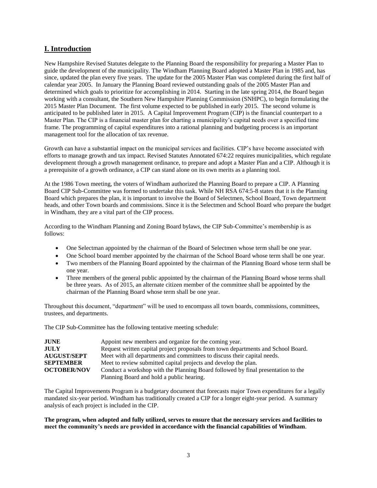# **I. Introduction**

New Hampshire Revised Statutes delegate to the Planning Board the responsibility for preparing a Master Plan to guide the development of the municipality. The Windham Planning Board adopted a Master Plan in 1985 and, has since, updated the plan every five years. The update for the 2005 Master Plan was completed during the first half of calendar year 2005. In January the Planning Board reviewed outstanding goals of the 2005 Master Plan and determined which goals to prioritize for accomplishing in 2014. Starting in the late spring 2014, the Board began working with a consultant, the Southern New Hampshire Planning Commission (SNHPC), to begin formulating the 2015 Master Plan Document. The first volume expected to be published in early 2015. The second volume is anticipated to be published later in 2015. A Capital Improvement Program (CIP) is the financial counterpart to a Master Plan. The CIP is a financial master plan for charting a municipality's capital needs over a specified time frame. The programming of capital expenditures into a rational planning and budgeting process is an important management tool for the allocation of tax revenue.

Growth can have a substantial impact on the municipal services and facilities. CIP's have become associated with efforts to manage growth and tax impact. Revised Statutes Annotated 674:22 requires municipalities, which regulate development through a growth management ordinance, to prepare and adopt a Master Plan and a CIP. Although it is a prerequisite of a growth ordinance, a CIP can stand alone on its own merits as a planning tool.

At the 1986 Town meeting, the voters of Windham authorized the Planning Board to prepare a CIP. A Planning Board CIP Sub-Committee was formed to undertake this task. While NH RSA 674:5-8 states that it is the Planning Board which prepares the plan, it is important to involve the Board of Selectmen, School Board, Town department heads, and other Town boards and commissions. Since it is the Selectmen and School Board who prepare the budget in Windham, they are a vital part of the CIP process.

According to the Windham Planning and Zoning Board bylaws, the CIP Sub-Committee's membership is as follows:

- One Selectman appointed by the chairman of the Board of Selectmen whose term shall be one year.
- One School board member appointed by the chairman of the School Board whose term shall be one year.
- Two members of the Planning Board appointed by the chairman of the Planning Board whose term shall be one year.
- Three members of the general public appointed by the chairman of the Planning Board whose terms shall be three years. As of 2015, an alternate citizen member of the committee shall be appointed by the chairman of the Planning Board whose term shall be one year.

Throughout this document, "department" will be used to encompass all town boards, commissions, committees, trustees, and departments.

The CIP Sub-Committee has the following tentative meeting schedule:

| <b>JUNE</b>        | Appoint new members and organize for the coming year.                             |
|--------------------|-----------------------------------------------------------------------------------|
| <b>JULY</b>        | Request written capital project proposals from town departments and School Board. |
| <b>AUGUST/SEPT</b> | Meet with all departments and committees to discuss their capital needs.          |
| <b>SEPTEMBER</b>   | Meet to review submitted capital projects and develop the plan.                   |
| <b>OCTOBER/NOV</b> | Conduct a workshop with the Planning Board followed by final presentation to the  |
|                    | Planning Board and hold a public hearing.                                         |

The Capital Improvements Program is a budgetary document that forecasts major Town expenditures for a legally mandated six-year period. Windham has traditionally created a CIP for a longer eight-year period. A summary analysis of each project is included in the CIP.

#### **The program, when adopted and fully utilized, serves to ensure that the necessary services and facilities to meet the community's needs are provided in accordance with the financial capabilities of Windham**.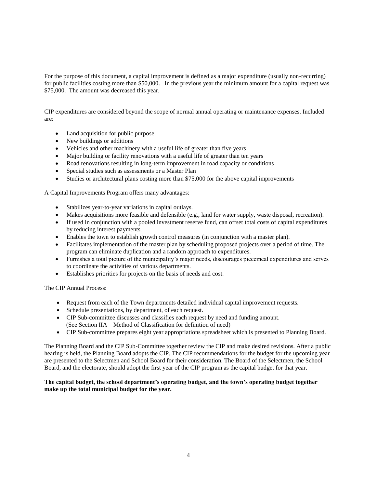For the purpose of this document, a capital improvement is defined as a major expenditure (usually non-recurring) for public facilities costing more than \$50,000. In the previous year the minimum amount for a capital request was \$75,000. The amount was decreased this year.

CIP expenditures are considered beyond the scope of normal annual operating or maintenance expenses. Included are:

- Land acquisition for public purpose
- New buildings or additions
- Vehicles and other machinery with a useful life of greater than five years
- Major building or facility renovations with a useful life of greater than ten years
- Road renovations resulting in long-term improvement in road capacity or conditions
- Special studies such as assessments or a Master Plan
- Studies or architectural plans costing more than \$75,000 for the above capital improvements

A Capital Improvements Program offers many advantages:

- Stabilizes year-to-year variations in capital outlays.
- Makes acquisitions more feasible and defensible (e.g., land for water supply, waste disposal, recreation).
- If used in conjunction with a pooled investment reserve fund, can offset total costs of capital expenditures by reducing interest payments.
- Enables the town to establish growth control measures (in conjunction with a master plan).
- Facilitates implementation of the master plan by scheduling proposed projects over a period of time. The program can eliminate duplication and a random approach to expenditures.
- Furnishes a total picture of the municipality's major needs, discourages piecemeal expenditures and serves to coordinate the activities of various departments.
- Establishes priorities for projects on the basis of needs and cost.

The CIP Annual Process:

- Request from each of the Town departments detailed individual capital improvement requests.
- Schedule presentations, by department, of each request.
- CIP Sub-committee discusses and classifies each request by need and funding amount. (See Section IIA – Method of Classification for definition of need)
- CIP Sub-committee prepares eight year appropriations spreadsheet which is presented to Planning Board.

The Planning Board and the CIP Sub-Committee together review the CIP and make desired revisions. After a public hearing is held, the Planning Board adopts the CIP. The CIP recommendations for the budget for the upcoming year are presented to the Selectmen and School Board for their consideration. The Board of the Selectmen, the School Board, and the electorate, should adopt the first year of the CIP program as the capital budget for that year.

#### **The capital budget, the school department's operating budget, and the town's operating budget together make up the total municipal budget for the year.**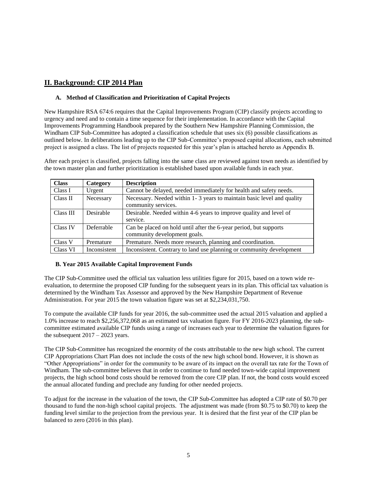# **II. Background: CIP 2014 Plan**

#### **A. Method of Classification and Prioritization of Capital Projects**

New Hampshire RSA 674:6 requires that the Capital Improvements Program (CIP) classify projects according to urgency and need and to contain a time sequence for their implementation. In accordance with the Capital Improvements Programming Handbook prepared by the Southern New Hampshire Planning Commission, the Windham CIP Sub-Committee has adopted a classification schedule that uses six (6) possible classifications as outlined below. In deliberations leading up to the CIP Sub-Committee's proposed capital allocations, each submitted project is assigned a class. The list of projects requested for this year's plan is attached hereto as Appendix B.

After each project is classified, projects falling into the same class are reviewed against town needs as identified by the town master plan and further prioritization is established based upon available funds in each year.

| <b>Class</b> | Category     | <b>Description</b>                                                                                |
|--------------|--------------|---------------------------------------------------------------------------------------------------|
| Class I      | Urgent       | Cannot be delayed, needed immediately for health and safety needs.                                |
| Class II     | Necessary    | Necessary. Needed within 1-3 years to maintain basic level and quality<br>community services.     |
| Class III    | Desirable    | Desirable. Needed within 4-6 years to improve quality and level of<br>service.                    |
| Class IV     | Deferrable   | Can be placed on hold until after the 6-year period, but supports<br>community development goals. |
| Class V      | Premature    | Premature. Needs more research, planning and coordination.                                        |
| Class VI     | Inconsistent | Inconsistent. Contrary to land use planning or community development                              |

#### **B. Year 2015 Available Capital Improvement Funds**

The CIP Sub-Committee used the official tax valuation less utilities figure for 2015, based on a town wide reevaluation, to determine the proposed CIP funding for the subsequent years in its plan. This official tax valuation is determined by the Windham Tax Assessor and approved by the New Hampshire Department of Revenue Administration. For year 2015 the town valuation figure was set at \$2,234,031,750.

To compute the available CIP funds for year 2016, the sub-committee used the actual 2015 valuation and applied a 1.0% increase to reach \$2,256,372,068 as an estimated tax valuation figure. For FY 2016-2023 planning, the subcommittee estimated available CIP funds using a range of increases each year to determine the valuation figures for the subsequent  $2017 - 2023$  years.

The CIP Sub-Committee has recognized the enormity of the costs attributable to the new high school. The current CIP Appropriations Chart Plan does not include the costs of the new high school bond. However, it is shown as "Other Appropriations" in order for the community to be aware of its impact on the overall tax rate for the Town of Windham. The sub-committee believes that in order to continue to fund needed town-wide capital improvement projects, the high school bond costs should be removed from the core CIP plan. If not, the bond costs would exceed the annual allocated funding and preclude any funding for other needed projects.

To adjust for the increase in the valuation of the town, the CIP Sub-Committee has adopted a CIP rate of \$0.70 per thousand to fund the non-high school capital projects. The adjustment was made (from \$0.75 to \$0.70) to keep the funding level similar to the projection from the previous year. It is desired that the first year of the CIP plan be balanced to zero (2016 in this plan).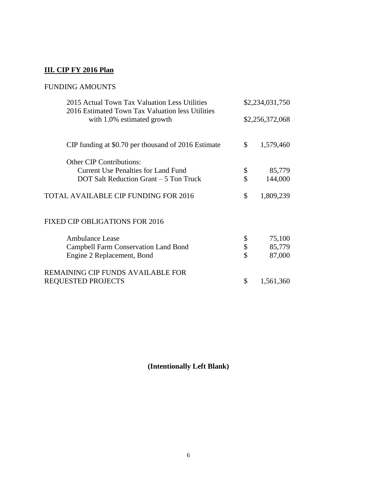# **III. CIP FY 2016 Plan**

# FUNDING AMOUNTS

| 2015 Actual Town Tax Valuation Less Utilities<br>2016 Estimated Town Tax Valuation less Utilities |                    | \$2,234,031,750 |  |
|---------------------------------------------------------------------------------------------------|--------------------|-----------------|--|
| with 1.0% estimated growth                                                                        |                    | \$2,256,372,068 |  |
| CIP funding at \$0.70 per thousand of 2016 Estimate                                               | \$                 | 1,579,460       |  |
| <b>Other CIP Contributions:</b>                                                                   |                    |                 |  |
| <b>Current Use Penalties for Land Fund</b>                                                        | \$                 | 85,779          |  |
| DOT Salt Reduction Grant – 5 Ton Truck                                                            | $\mathbf{\hat{S}}$ | 144,000         |  |
| <b>TOTAL AVAILABLE CIP FUNDING FOR 2016</b>                                                       | \$                 | 1,809,239       |  |
| <b>FIXED CIP OBLIGATIONS FOR 2016</b>                                                             |                    |                 |  |
| <b>Ambulance Lease</b>                                                                            | \$                 | 75,100          |  |
| <b>Campbell Farm Conservation Land Bond</b>                                                       | \$                 | 85,779          |  |
| Engine 2 Replacement, Bond                                                                        | \$                 | 87,000          |  |
| REMAINING CIP FUNDS AVAILABLE FOR                                                                 |                    |                 |  |
| <b>REQUESTED PROJECTS</b>                                                                         | \$                 | 1,561,360       |  |

**(Intentionally Left Blank)**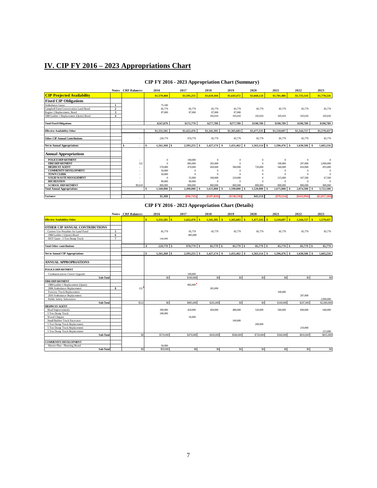# **IV. CIP FY 2016 – 2023 Appropriations Chart**

|                                        |                | <b>Notes CRF</b> Balances | 2016                           | 2017        | 2018                | 2019         | 2020                  | 2021         | 2022                  | 2023         |
|----------------------------------------|----------------|---------------------------|--------------------------------|-------------|---------------------|--------------|-----------------------|--------------|-----------------------|--------------|
| <b>CIP Projected Availability</b>      |                |                           | \$1,579,460                    | \$1,595,255 | \$1,619,184         | \$1,643,472  | \$1,668,124           | \$1,701,486  | \$1,735,516           | \$1,770,226  |
| <b>Fixed CIP Obligations</b>           |                |                           |                                |             |                     |              |                       |              |                       |              |
| Ambulance Lease                        |                |                           | 75,100                         |             |                     |              |                       |              |                       |              |
| Campbell Farm Conservation Land Bond   | $\overline{2}$ |                           | 85,779                         | 85,779      | 85,779              | 85,779       | 85.779                | 85,779       | 85,779                | 85,779       |
| Engine 2 Replacement, Bond             | 3              |                           | 87,000                         | 87,000      | 87,000              | 87,000       |                       |              |                       |              |
| 1980 Ladder 1 Replacement (Quint) Bond |                |                           |                                |             | 105,010             | 105,010      | 105,010               | 105,010      | 105,010               | 105,010      |
| <b>Total Fixed Obligations</b>         |                |                           | \$247.879                      | \$172,779   | \$277,789           | \$277,789    | \$190,789             | \$190,789    | \$190,789             | \$190,789    |
| <b>Effective Availability Other</b>    |                |                           | \$1,331,581                    | \$1,422,476 | \$1,341,395         | \$1,365,683  | \$1,477,335           | \$1,510,697  | \$1,544,727           | \$1,579,437  |
| <b>Other CIP Annual Contributions</b>  |                | $\overline{\phantom{a}}$  | 229,779                        | 970.779     | 85,779              | 85,779       | 85,779                | 85,779       | 85,779                | 85,779       |
| <b>Net to Annual Appropriations</b>    |                | s                         | 1,561,360 \$<br>\$             | 2,393,255   | 1.427,174 \$<br>\$. | 1.451.462 \$ | 1.563.114 \$          | 1.596.476 \$ | 1,630,506<br>-S       | 1,665,216    |
| <b>Annual Appropriations</b>           |                |                           |                                |             |                     |              |                       |              |                       |              |
| <b>POLICE DEPARTMENT</b>               |                |                           | $\Omega$                       | 190,000     | $\Omega$            | $\Omega$     | $\Omega$              | $\mathbf{0}$ | $\Omega$              | $\Omega$     |
| <b>FIRE DEPARTMENT</b>                 |                | 122                       | $\Omega$                       | 885,000     | 265,000             | $\Omega$     | $\Omega$              | 100,000      | 297,000               | 2,000,000    |
| <b>HIGHWAY AGENT</b>                   |                |                           | 570,000                        | 470,000     | 450,000             | 580,000      | 720,000               | 560,000      | 810,000               | 855,000      |
| <b>COMMUNITY DEVELOPMENT</b>           |                |                           | 50,000                         |             | $\Omega$            |              | $\Omega$              | $\Omega$     |                       | $\Omega$     |
| <b>TOWN CLERK</b>                      |                | ۰                         | 50,000                         |             | $\Omega$            | $\Omega$     |                       | $\Omega$     |                       |              |
| <b>SOLID WASTEMANAGEMENT</b>           |                | ۰                         | $\Omega$                       | 55,000      | 100,000             | 210,000      | $\Omega$              | 215,000      | 167,500               | 67,500       |
| <b>RECREATION</b>                      |                |                           | 90,000                         | 90,000      | $\Omega$            | $\Omega$     | $\Omega$              | $\Omega$     |                       |              |
| <b>SCHOOL DEPARTMENT</b>               |                | 89,618                    | 800,000                        | 800,000     | 800,000             | 800,000      | 800,000               | 800,000      | 800,000               | 800,000      |
| <b>Total Annual Appropriations</b>     |                |                           | $\mathbf{s}$<br>$1.560,000$ \$ | 2,490,000   | 1,615,000           | 1.590,000    | 1.520,000<br>-S<br>-8 | 1,675,000    | 2,074,500<br><b>s</b> | 3,722,500    |
|                                        |                |                           |                                |             |                     |              |                       |              |                       |              |
| Variance                               |                |                           | \$1,360                        | (S96, 745)  | (S187, 826)         | (S138, 538)  | \$43,114              | (S78, 524)   | (S443.994)            | (S2.057.284) |

#### **CIP FY 2016 - 2023 Appropriation Chart (Summary)**

#### **CIP FY 2016 - 2023 Appropriation Chart (Details)**

|                                         |                | <b>Notes CRF Balances</b> | 2016                           |                | 2017           |              | 2018            | 2019                      | 2020           | 2021             | 2022                      | 2023           |
|-----------------------------------------|----------------|---------------------------|--------------------------------|----------------|----------------|--------------|-----------------|---------------------------|----------------|------------------|---------------------------|----------------|
| <b>Effective Availability Other</b>     |                |                           | $\mathbf{s}$<br>$1,331,581$ \$ |                | 1,422,476      | $\mathbf{s}$ | 1,341,395<br>-8 | $\mathbf{s}$<br>1,365,683 | 1,477,335<br>S | l s<br>1,510,697 | $\mathbf{s}$<br>1,544,727 | 1,579,437      |
| OTHER CIP ANNUAL CONTRIBUTIONS          |                |                           |                                |                |                |              |                 |                           |                |                  |                           |                |
| Current Use Penalties for Land Fund     | 5              |                           | 85,779                         |                | 85,779         |              | 85,779          | 85,779                    | 85,779         | 85,779           | 85,779                    | 85,779         |
| 1980 Ladder 1 (Quint) Bond              | 6              |                           |                                |                | 885,000        |              |                 |                           |                |                  |                           |                |
| DOT Grant - 5 Ton Dump Truck            | $\overline{7}$ |                           | 144,000                        |                |                |              |                 |                           |                |                  |                           |                |
| <b>Total Other contributions</b>        |                |                           | \$<br>229,779 \$               |                | 970,779 \$     |              | 85,779 \$       |                           | 85,779 \$      | $85,779$ \ \$    | $85,779$ \$               | 85,779         |
| <b>Net to Annual CIP Appropriations</b> |                |                           | 1,561,360 \$<br>\$             |                | $2,393,255$ \$ |              | $1,427,174$ \$  | $1,451,462$ \$            | $1,563,114$ \$ | 1,596,476 \$     | $1,630,506$ \$            | 1,665,216      |
| <b>ANNUAL APPROPRIATIONS</b>            |                |                           |                                |                |                |              |                 |                           |                |                  |                           |                |
| <b>POLICE DEPARTMENT</b>                |                |                           |                                |                |                |              |                 |                           |                |                  |                           |                |
| Communications Center Upgrade           |                |                           |                                |                | 190,000        |              |                 |                           |                |                  |                           |                |
| Sub-Total                               |                |                           |                                | S <sub>0</sub> | \$190,000      |              | S <sub>0</sub>  | SO <sub>2</sub>           | so.            | S <sub>0</sub>   | \$0                       | S <sub>0</sub> |
| <b>FIREDEPARTMENT</b>                   |                |                           |                                |                |                |              |                 |                           |                |                  |                           |                |
| 1980 Ladder 1 Replacement (Quint)       |                |                           |                                |                | 885,000        |              |                 |                           |                |                  |                           |                |
| 2006 Ambulance Replacement              | 8              | 122                       |                                |                |                |              | 265,000         |                           |                |                  |                           |                |
| Forestry Truck Replacement              |                |                           |                                |                |                |              |                 |                           |                | 100,000          |                           |                |
| 2010 Ambulance Replacement              |                |                           |                                |                |                |              |                 |                           |                |                  | 297,000                   |                |
| <b>Public Safety Substation</b>         |                |                           |                                |                |                |              |                 |                           |                |                  |                           | 2.000,000      |
| Sub-Total                               |                | \$122                     |                                | S <sub>0</sub> | \$885,000      |              | \$265,000       | \$0                       | \$0            | \$100,000        | \$297,000                 | \$2,000,000    |
| <b>HIGHWAY AGENT</b>                    |                |                           |                                |                |                |              |                 |                           |                |                  |                           |                |
| Road Improvements                       |                |                           | 390,000                        |                | 420,000        |              | 450,000         | 480,000                   | 520,000        | 560,000          | 600,000                   | 640,000        |
| 5 Ton Dump Truck<br>Wood Chipper        |                |                           | 180,000                        |                | 50,000         |              |                 |                           |                |                  |                           |                |
| Small Rubber Track Excavator            |                |                           |                                |                |                |              |                 | 100,000                   |                |                  |                           |                |
| 5 Ton Dump Truck Replacement            |                |                           |                                |                |                |              |                 |                           | 200,000        |                  |                           |                |
| 5 Ton Dump Truck Replacement            |                |                           |                                |                |                |              |                 |                           |                |                  | 210,000                   |                |
| 5 Ton Dump Truck Replacement            |                |                           |                                |                |                |              |                 |                           |                |                  |                           | 215,000        |
| Sub-Total                               |                | \$0                       | \$570,000                      |                | \$470,000      |              | \$450,000       | \$580,000                 | \$720,000      | \$560,000        | \$810,000                 | \$855,000      |
|                                         |                |                           |                                |                |                |              |                 |                           |                |                  |                           |                |
| COMMUNITY DEVELOPMENT                   |                |                           |                                |                |                |              |                 |                           |                |                  |                           |                |
| Master Plan - Planning Board            |                |                           | 50,000                         |                |                |              |                 |                           |                |                  |                           |                |
| Sub-Total                               |                | $\boldsymbol{S}$          | \$50,000                       |                | S <sub>0</sub> |              | S <sub>0</sub>  | \$0                       | \$0            | S <sub>0</sub>   | \$0                       | $\$0$          |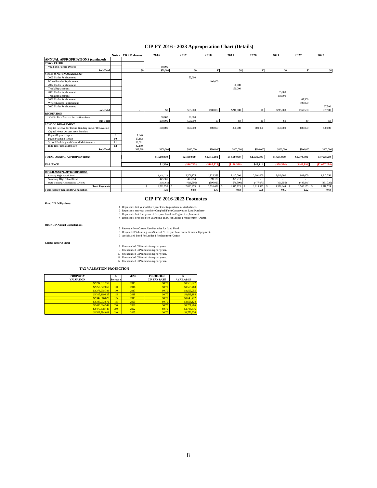#### **CIP FY 2016 - 2023 Appropriation Chart (Details)**

|                                                       |                  | <b>Notes CRF</b> Balances | 2016                               | 2017        | 2018           | 2019           | 2020        | 2021                      | 2022           | 2023         |
|-------------------------------------------------------|------------------|---------------------------|------------------------------------|-------------|----------------|----------------|-------------|---------------------------|----------------|--------------|
| <b>ANNUAL APPROPRIATIONS (continued)</b>              |                  |                           |                                    |             |                |                |             |                           |                |              |
| <b>TOWN CLERK</b>                                     |                  |                           |                                    |             |                |                |             |                           |                |              |
| Vault and Record Project                              |                  |                           | 50,000                             |             |                |                |             |                           |                |              |
| Sub-Total                                             |                  | <sub>\$0</sub>            | \$50,000                           | \$0         | S <sub>0</sub> | \$0            | SO          | S <sub>0</sub>            | S <sub>0</sub> | \$0          |
| <b>SOLID WASTEMANAGEMENT</b>                          |                  |                           |                                    |             |                |                |             |                           |                |              |
| 2005 Trailer Replacement                              |                  |                           |                                    | 55,000      |                |                |             |                           |                |              |
| Wheel Loader Replacement                              |                  |                           |                                    |             | 100,000        |                |             |                           |                |              |
| 2007 Trailer Replacement                              |                  |                           |                                    |             |                | 60,000         |             |                           |                |              |
| Truck Replacement                                     |                  |                           |                                    |             |                | 150,000        |             |                           |                |              |
| 2008 Trailer Replacement                              |                  |                           |                                    |             |                |                |             | 65,000                    |                |              |
| Truck Replacement                                     |                  |                           |                                    |             |                |                |             | 150,000                   |                |              |
| 2008 Trailer Replacement                              |                  |                           |                                    |             |                |                |             |                           | 67.500         |              |
| Wheel Loader Replacement                              |                  |                           |                                    |             |                |                |             |                           | 100,000        |              |
| 2010 Trailer Replacement                              |                  |                           |                                    |             |                |                |             |                           |                | 67,500       |
| Sub-Total                                             |                  | ٠                         | \$0                                | \$55,000    | \$100,000      | \$210,000      | \$0         | \$215,000                 | \$167,500      | \$67,500     |
| <b>RECREATION</b>                                     |                  |                           |                                    |             |                |                |             |                           |                |              |
| Griffin Park Passive Recreation Area                  |                  |                           | 90,000                             | 90,000      |                |                |             |                           |                |              |
| Sub-Total                                             |                  | ٠                         | \$90,000                           | \$90,000    | \$0            | S <sub>0</sub> | \$0         | $\boldsymbol{\mathsf{S}}$ | \$0            | \$0          |
| <b>SCHOOL DEPARTMENT</b>                              |                  |                           |                                    |             |                |                |             |                           |                |              |
| Capital Reserve for Future Building and/or Renovation |                  |                           | 800,000                            | 800,000     | 800,000        | 800,000        | 800,000     | 800,000                   | 800,000        | 800,000      |
| Capital Needs Assessment Funding                      |                  |                           |                                    |             |                |                |             |                           |                |              |
| Repair/Replace Septic                                 | $\boldsymbol{9}$ | 1,646                     |                                    |             |                |                |             |                           |                |              |
| Paving/Parking Repair                                 | 10               | 27.182                    |                                    |             |                |                |             |                           |                |              |
| School Building and Ground Maintenance                | 11               | 18,591                    |                                    |             |                |                |             |                           |                |              |
| <b>Bldg Roof Repair/Replace</b>                       | 12               | 42,199                    |                                    |             |                |                |             |                           |                |              |
| Sub-Total                                             |                  | \$89,618                  | \$800,000                          | \$800,000   | \$800,000      | \$800,000      | \$800,000   | \$800,000                 | \$800,000      | \$800,000    |
|                                                       |                  |                           |                                    |             |                |                |             |                           |                |              |
| TOTAL ANNUAL APPROPRIATIONS                           |                  |                           | \$1,560,000                        | \$2,490,000 | \$1,615,000    | \$1,590,000    | \$1,520,000 | \$1,675,000               | \$2,074.500    | \$3,722,500  |
|                                                       |                  |                           |                                    |             |                |                |             |                           |                |              |
| <b>VARIANCE</b>                                       |                  |                           | \$1,360                            | (\$96,745)  | (\$187.826)    | (S138, 538)    | \$43,114    | (S78, 524)                | (\$443.994)    | (S2.057.284) |
|                                                       |                  |                           |                                    |             |                |                |             |                           |                |              |
| OTHER ANNUAL APPROPRIATIONS                           |                  |                           |                                    |             |                |                |             |                           |                |              |
| Primary High School Bond                              |                  |                           | 3.108.775                          | 2.206.175   | 1.923.338      | 2.142.000      | 2.091.000   | 2,040,000                 | 1,989,000      | 1.942.250    |
| Secondary High School Bond                            |                  |                           | 443,381                            | 423,694     | 399,138        | 379,713        |             |                           |                |              |
| State Building Aid Received (Offset)                  |                  |                           | (830, 361)                         | (616, 596)  | (596, 023)     | (576, 590)     | (477,071)   | (461,956)                 | (446, 841)     | (431, 726)   |
| <b>Total Payments</b>                                 |                  |                           | $\hat{\mathbf{x}}$<br>2,721,795 \$ | 2,013,273   | 1,726,452 \$   | 1,945,123      | 1,613,929   | 1,578,044                 | 1,542,159      | 1,510,524    |
| Total cost per thousand town valuation                |                  |                           | 1.21                               | 0.88        | 0.75           | 0.83           | 0.68        | 0.65                      | 0.62           | 0.60         |

**Fixed CIP Obligations:**

#### **CIP FY 2016-2023 Footnotes**

- 
- 1 Represents last year of three year lease to purchase of Ambulance.<br>2 Represents ten year bond for Campbell Farm Conservation Land Purchase.<br>3 Represents last four years of five year bond for Engine 2 replacement.<br>4 Repre

**Other CIP Annual Contributions:**

5 Revenue from Current Use Penalties for Land Fund.<br>6 Required 80% funding from State of NH to purchase Snow Removal Equipment.<br>7 Anticipated Bond for Ladder 1 Replacement (Quint).

**Capital Reserve Fund:**

- 
- 
- 8 Unexpended CIP funds from prior years.<br>
10 Unexpended CIP funds from prior years.<br>
10 Unexpended CIP funds from prior years.<br>
11 Unexpended CIP funds from prior years.<br>
12 Unexpended CIP funds from prior years.
- 

 **TAX VALUATION PROJECTION**

| <b>PROPERTY</b>  | $\frac{0}{\alpha}$ | YEAR | <b>PROJECTED</b>    |                  |
|------------------|--------------------|------|---------------------|------------------|
| <b>VALUATION</b> | <b>Increase</b>    |      | <b>CIP TAX RATE</b> | <b>AVAILABLE</b> |
| \$2,234,031,750  |                    | 2015 | \$0.70              | \$1,563,822      |
| \$2,256,372,068  | 1.0                | 2016 | \$0.70              | \$1,579,460      |
| \$2,278,935,788  | 1.0                | 2017 | \$0.70              | \$1,595,255      |
| \$2,313,119,825  | 1.5                | 2018 | \$0.70              | \$1,619.184      |
| \$2,347,816,622  | 1.5                | 2019 | \$0.70              | \$1,643,472      |
| \$2,383,033,872  | 1.5                | 2020 | \$0.70              | \$1,668,124      |
| \$2,430,694.549  | 2.0                | 2021 | \$0.70              | \$1,701,486      |
| \$2,479,308,440  | 2.0                | 2022 | \$0.70              | \$1,735,516      |
| \$2,528,894,609  | 2.0                | 2023 | \$0.70              | \$1,770,226      |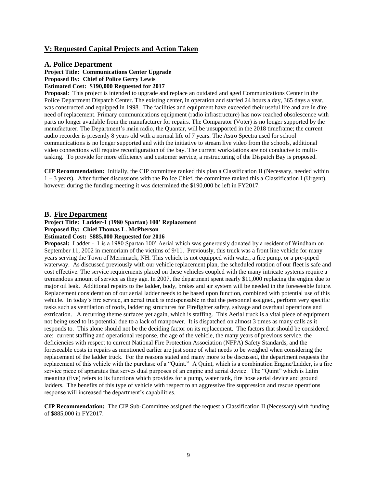# **V: Requested Capital Projects and Action Taken**

#### **A. Police Department**

**Project Title: Communications Center Upgrade Proposed By: Chief of Police Gerry Lewis**

**Estimated Cost: \$190,000 Requested for 2017**

**Proposal**: This project is intended to upgrade and replace an outdated and aged Communications Center in the Police Department Dispatch Center. The existing center, in operation and staffed 24 hours a day, 365 days a year, was constructed and equipped in 1998. The facilities and equipment have exceeded their useful life and are in dire need of replacement. Primary communications equipment (radio infrastructure) has now reached obsolescence with parts no longer available from the manufacturer for repairs. The Comparator (Voter) is no longer supported by the manufacturer. The Department's main radio, the Quantar, will be unsupported in the 2018 timeframe; the current audio recorder is presently 8 years old with a normal life of 7 years. The Astro Spectra used for school communications is no longer supported and with the initiative to stream live video from the schools, additional video connections will require reconfiguration of the bay. The current workstations are not conducive to multitasking. To provide for more efficiency and customer service, a restructuring of the Dispatch Bay is proposed.

**CIP Recommendation:** Initially, the CIP committee ranked this plan a Classification II (Necessary, needed within 1 – 3 years). After further discussions with the Police Chief, the committee ranked this a Classification I (Urgent), however during the funding meeting it was determined the \$190,000 be left in FY2017.

#### **B. Fire Department**

#### **Project Title: Ladder-1 (1980 Spartan) 100' Replacement Proposed By: Chief Thomas L. McPherson Estimated Cost: \$885,000 Requested for 2016**

**Proposal:** Ladder - 1 is a 1980 Spartan 100' Aerial which was generously donated by a resident of Windham on September 11, 2002 in memoriam of the victims of 9/11. Previously, this truck was a front line vehicle for many years serving the Town of Merrimack, NH. This vehicle is not equipped with water, a fire pump, or a pre-piped waterway. As discussed previously with our vehicle replacement plan, the scheduled rotation of our fleet is safe and cost effective. The service requirements placed on these vehicles coupled with the many intricate systems require a tremendous amount of service as they age. In 2007, the department spent nearly \$11,000 replacing the engine due to major oil leak. Additional repairs to the ladder, body, brakes and air system will be needed in the foreseeable future. Replacement consideration of our aerial ladder needs to be based upon function, combined with potential use of this vehicle. In today's fire service, an aerial truck is indispensable in that the personnel assigned, perform very specific tasks such as ventilation of roofs, laddering structures for Firefighter safety, salvage and overhaul operations and extrication. A recurring theme surfaces yet again, which is staffing. This Aerial truck is a vital piece of equipment not being used to its potential due to a lack of manpower. It is dispatched on almost 3 times as many calls as it responds to. This alone should not be the deciding factor on its replacement. The factors that should be considered are: current staffing and operational response, the age of the vehicle, the many years of previous service, the deficiencies with respect to current National Fire Protection Association (NFPA) Safety Standards, and the foreseeable costs in repairs as mentioned earlier are just some of what needs to be weighed when considering the replacement of the ladder truck. For the reasons stated and many more to be discussed, the department requests the replacement of this vehicle with the purchase of a "Quint." A Quint, which is a combination Engine/Ladder, is a fire service piece of apparatus that serves dual purposes of an engine and aerial device. The "Quint" which is Latin meaning (five) refers to its functions which provides for a pump, water tank, fire hose aerial device and ground ladders. The benefits of this type of vehicle with respect to an aggressive fire suppression and rescue operations response will increased the department's capabilities.

**CIP Recommendation:** The CIP Sub-Committee assigned the request a Classification II (Necessary) with funding of \$885,000 in FY2017.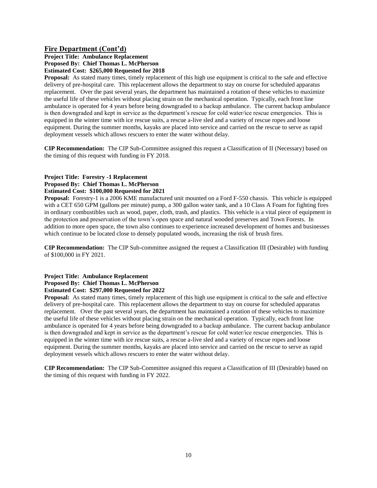#### **Fire Department (Cont'd)**

#### **Project Title: Ambulance Replacement Proposed By: Chief Thomas L. McPherson Estimated Cost: \$265,000 Requested for 2018**

**Proposal:** As stated many times, timely replacement of this high use equipment is critical to the safe and effective delivery of pre-hospital care. This replacement allows the department to stay on course for scheduled apparatus replacement. Over the past several years, the department has maintained a rotation of these vehicles to maximize the useful life of these vehicles without placing strain on the mechanical operation. Typically, each front line ambulance is operated for 4 years before being downgraded to a backup ambulance. The current backup ambulance is then downgraded and kept in service as the department's rescue for cold water/ice rescue emergencies. This is equipped in the winter time with ice rescue suits, a rescue a-live sled and a variety of rescue ropes and loose equipment. During the summer months, kayaks are placed into service and carried on the rescue to serve as rapid deployment vessels which allows rescuers to enter the water without delay.

**CIP Recommendation:** The CIP Sub-Committee assigned this request a Classification of II (Necessary) based on the timing of this request with funding in FY 2018.

#### **Project Title: Forestry -1 Replacement Proposed By: Chief Thomas L. McPherson Estimated Cost: \$100,000 Requested for 2021**

**Proposal:** Forestry-1 is a 2006 KME manufactured unit mounted on a Ford F-550 chassis. This vehicle is equipped with a CET 650 GPM (gallons per minute) pump, a 300 gallon water tank, and a 10 Class A Foam for fighting fires in ordinary combustibles such as wood, paper, cloth, trash, and plastics. This vehicle is a vital piece of equipment in the protection and preservation of the town's open space and natural wooded preserves and Town Forests. In addition to more open space, the town also continues to experience increased development of homes and businesses which continue to be located close to densely populated woods, increasing the risk of brush fires.

**CIP Recommendation:** The CIP Sub-committee assigned the request a Classification III (Desirable) with funding of \$100,000 in FY 2021.

#### **Project Title: Ambulance Replacement Proposed By: Chief Thomas L. McPherson Estimated Cost: \$297,000 Requested for 2022**

**Proposal:** As stated many times, timely replacement of this high use equipment is critical to the safe and effective delivery of pre-hospital care. This replacement allows the department to stay on course for scheduled apparatus replacement. Over the past several years, the department has maintained a rotation of these vehicles to maximize the useful life of these vehicles without placing strain on the mechanical operation. Typically, each front line ambulance is operated for 4 years before being downgraded to a backup ambulance. The current backup ambulance is then downgraded and kept in service as the department's rescue for cold water/ice rescue emergencies. This is equipped in the winter time with ice rescue suits, a rescue a-live sled and a variety of rescue ropes and loose equipment. During the summer months, kayaks are placed into service and carried on the rescue to serve as rapid deployment vessels which allows rescuers to enter the water without delay.

**CIP Recommendation:** The CIP Sub-Committee assigned this request a Classification of III (Desirable) based on the timing of this request with funding in FY 2022.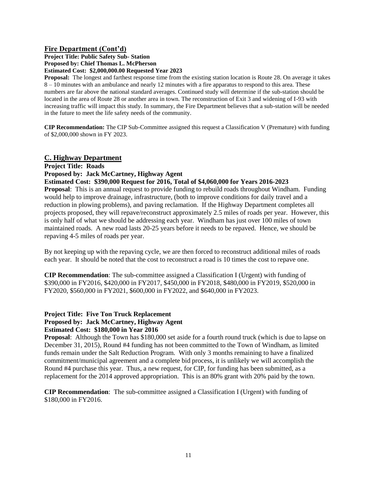## **Fire Department (Cont'd)**

#### **Project Title: Public Safety Sub- Station Proposed by: Chief Thomas L. McPherson Estimated Cost: \$2,000,000.00 Requested Year 2023**

**Proposal:** The longest and farthest response time from the existing station location is Route 28. On average it takes 8 – 10 minutes with an ambulance and nearly 12 minutes with a fire apparatus to respond to this area. These numbers are far above the national standard averages. Continued study will determine if the sub-station should be located in the area of Route 28 or another area in town. The reconstruction of Exit 3 and widening of I-93 with increasing traffic will impact this study. In summary, the Fire Department believes that a sub-station will be needed in the future to meet the life safety needs of the community.

**CIP Recommendation:** The CIP Sub-Committee assigned this request a Classification V (Premature) with funding of \$2,000,000 shown in FY 2023.

#### **C. Highway Department**

**Project Title: Roads**

**Proposed by: Jack McCartney, Highway Agent**

**Estimated Cost: \$390,000 Request for 2016, Total of \$4,060,000 for Years 2016-2023**

**Proposal**: This is an annual request to provide funding to rebuild roads throughout Windham. Funding would help to improve drainage, infrastructure, (both to improve conditions for daily travel and a reduction in plowing problems), and paving reclamation. If the Highway Department completes all projects proposed, they will repave/reconstruct approximately 2.5 miles of roads per year. However, this is only half of what we should be addressing each year. Windham has just over 100 miles of town maintained roads. A new road lasts 20-25 years before it needs to be repaved. Hence, we should be repaving 4-5 miles of roads per year.

By not keeping up with the repaving cycle, we are then forced to reconstruct additional miles of roads each year. It should be noted that the cost to reconstruct a road is 10 times the cost to repave one.

**CIP Recommendation**: The sub-committee assigned a Classification I (Urgent) with funding of \$390,000 in FY2016, \$420,000 in FY2017, \$450,000 in FY2018, \$480,000 in FY2019, \$520,000 in FY2020, \$560,000 in FY2021, \$600,000 in FY2022, and \$640,000 in FY2023.

#### **Project Title: Five Ton Truck Replacement Proposed by: Jack McCartney, Highway Agent Estimated Cost: \$180,000 in Year 2016**

**Proposal**: Although the Town has \$180,000 set aside for a fourth round truck (which is due to lapse on December 31, 2015), Round #4 funding has not been committed to the Town of Windham, as limited funds remain under the Salt Reduction Program. With only 3 months remaining to have a finalized commitment/municipal agreement and a complete bid process, it is unlikely we will accomplish the Round #4 purchase this year. Thus, a new request, for CIP, for funding has been submitted, as a replacement for the 2014 approved appropriation. This is an 80% grant with 20% paid by the town.

**CIP Recommendation**: The sub-committee assigned a Classification I (Urgent) with funding of \$180,000 in FY2016.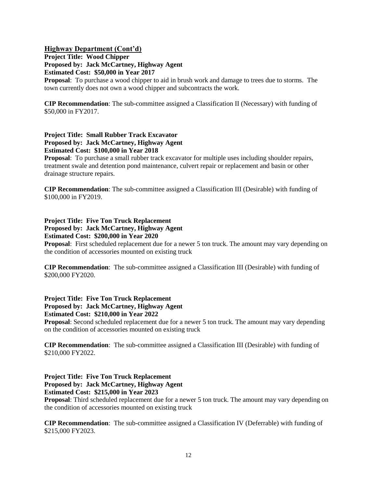**Highway Department (Cont'd)**

**Project Title: Wood Chipper Proposed by: Jack McCartney, Highway Agent Estimated Cost: \$50,000 in Year 2017 Proposal**: To purchase a wood chipper to aid in brush work and damage to trees due to storms. The town currently does not own a wood chipper and subcontracts the work.

**CIP Recommendation**: The sub-committee assigned a Classification II (Necessary) with funding of \$50,000 in FY2017.

**Project Title: Small Rubber Track Excavator Proposed by: Jack McCartney, Highway Agent Estimated Cost: \$100,000 in Year 2018**

**Proposal**: To purchase a small rubber track excavator for multiple uses including shoulder repairs, treatment swale and detention pond maintenance, culvert repair or replacement and basin or other drainage structure repairs.

**CIP Recommendation**: The sub-committee assigned a Classification III (Desirable) with funding of \$100,000 in FY2019.

**Project Title: Five Ton Truck Replacement Proposed by: Jack McCartney, Highway Agent Estimated Cost: \$200,000 in Year 2020**

**Proposal**: First scheduled replacement due for a newer 5 ton truck. The amount may vary depending on the condition of accessories mounted on existing truck

**CIP Recommendation**: The sub-committee assigned a Classification III (Desirable) with funding of \$200,000 FY2020.

**Project Title: Five Ton Truck Replacement Proposed by: Jack McCartney, Highway Agent Estimated Cost: \$210,000 in Year 2022**

**Proposal**: Second scheduled replacement due for a newer 5 ton truck. The amount may vary depending on the condition of accessories mounted on existing truck

**CIP Recommendation**: The sub-committee assigned a Classification III (Desirable) with funding of \$210,000 FY2022.

**Project Title: Five Ton Truck Replacement Proposed by: Jack McCartney, Highway Agent Estimated Cost: \$215,000 in Year 2023**

**Proposal**: Third scheduled replacement due for a newer 5 ton truck. The amount may vary depending on the condition of accessories mounted on existing truck

**CIP Recommendation**: The sub-committee assigned a Classification IV (Deferrable) with funding of \$215,000 FY2023.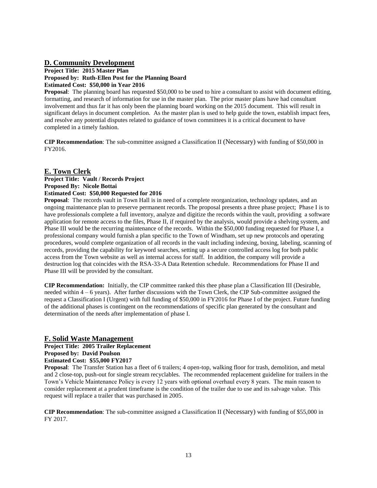# **D. Community Development**

**Project Title: 2015 Master Plan Proposed by: Ruth-Ellen Post for the Planning Board Estimated Cost: \$50,000 in Year 2016**

**Proposal**: The planning board has requested \$50,000 to be used to hire a consultant to assist with document editing, formatting, and research of information for use in the master plan. The prior master plans have had consultant involvement and thus far it has only been the planning board working on the 2015 document. This will result in significant delays in document completion. As the master plan is used to help guide the town, establish impact fees, and resolve any potential disputes related to guidance of town committees it is a critical document to have completed in a timely fashion.

**CIP Recommendation**: The sub-committee assigned a Classification II (Necessary) with funding of \$50,000 in FY2016.

## **E. Town Clerk**

# **Project Title: Vault / Records Project Proposed By: Nicole Bottai**

#### **Estimated Cost: \$50,000 Requested for 2016**

**Proposal**: The records vault in Town Hall is in need of a complete reorganization, technology updates, and an ongoing maintenance plan to preserve permanent records. The proposal presents a three phase project; Phase I is to have professionals complete a full inventory, analyze and digitize the records within the vault, providing a software application for remote access to the files, Phase II, if required by the analysis, would provide a shelving system, and Phase III would be the recurring maintenance of the records. Within the \$50,000 funding requested for Phase I, a professional company would furnish a plan specific to the Town of Windham, set up new protocols and operating procedures, would complete organization of all records in the vault including indexing, boxing, labeling, scanning of records, providing the capability for keyword searches, setting up a secure controlled access log for both public access from the Town website as well as internal access for staff. In addition, the company will provide a destruction log that coincides with the RSA-33-A Data Retention schedule. Recommendations for Phase II and Phase III will be provided by the consultant.

**CIP Recommendation:** Initially, the CIP committee ranked this thee phase plan a Classification III (Desirable, needed within 4 – 6 years). After further discussions with the Town Clerk, the CIP Sub-committee assigned the request a Classification I (Urgent) with full funding of \$50,000 in FY2016 for Phase I of the project. Future funding of the additional phases is contingent on the recommendations of specific plan generated by the consultant and determination of the needs after implementation of phase I.

#### **F. Solid Waste Management**

#### **Project Title: 2005 Trailer Replacement**

**Proposed by: David Poulson**

#### **Estimated Cost: \$55,000 FY2017**

**Proposal**: The Transfer Station has a fleet of 6 trailers; 4 open-top, walking floor for trash, demolition, and metal and 2 close-top, push-out for single stream recyclables. The recommended replacement guideline for trailers in the Town's Vehicle Maintenance Policy is every 12 years with optional overhaul every 8 years. The main reason to consider replacement at a prudent timeframe is the condition of the trailer due to use and its salvage value. This request will replace a trailer that was purchased in 2005.

**CIP Recommendation**: The sub-committee assigned a Classification II (Necessary) with funding of \$55,000 in FY 2017.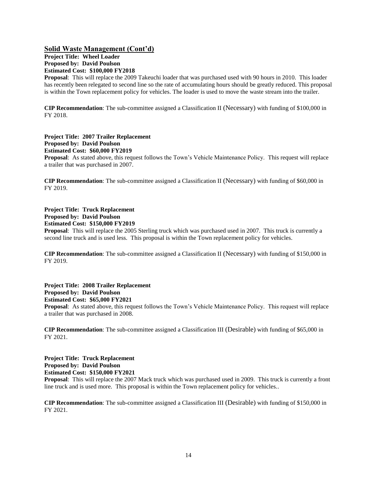#### **Solid Waste Management (Cont'd)**

**Project Title: Wheel Loader Proposed by: David Poulson Estimated Cost: \$100,000 FY2018**

**Proposal**: This will replace the 2009 Takeuchi loader that was purchased used with 90 hours in 2010. This loader has recently been relegated to second line so the rate of accumulating hours should be greatly reduced. This proposal is within the Town replacement policy for vehicles. The loader is used to move the waste stream into the trailer.

**CIP Recommendation**: The sub-committee assigned a Classification II (Necessary) with funding of \$100,000 in FY 2018.

**Project Title: 2007 Trailer Replacement Proposed by: David Poulson Estimated Cost: \$60,000 FY2019 Proposal**: As stated above, this request follows the Town's Vehicle Maintenance Policy. This request will replace a trailer that was purchased in 2007.

**CIP Recommendation**: The sub-committee assigned a Classification II (Necessary) with funding of \$60,000 in FY 2019.

#### **Project Title: Truck Replacement Proposed by: David Poulson Estimated Cost: \$150,000 FY2019**

**Proposal**: This will replace the 2005 Sterling truck which was purchased used in 2007. This truck is currently a second line truck and is used less. This proposal is within the Town replacement policy for vehicles.

**CIP Recommendation**: The sub-committee assigned a Classification II (Necessary) with funding of \$150,000 in FY 2019.

**Project Title: 2008 Trailer Replacement Proposed by: David Poulson Estimated Cost: \$65,000 FY2021**

**Proposal**: As stated above, this request follows the Town's Vehicle Maintenance Policy. This request will replace a trailer that was purchased in 2008.

**CIP Recommendation**: The sub-committee assigned a Classification III (Desirable) with funding of \$65,000 in FY 2021.

**Project Title: Truck Replacement Proposed by: David Poulson Estimated Cost: \$150,000 FY2021**

**Proposal**: This will replace the 2007 Mack truck which was purchased used in 2009. This truck is currently a front line truck and is used more. This proposal is within the Town replacement policy for vehicles..

**CIP Recommendation**: The sub-committee assigned a Classification III (Desirable) with funding of \$150,000 in FY 2021.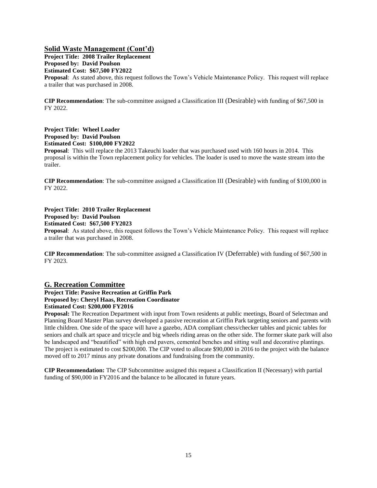#### **Solid Waste Management (Cont'd)**

**Project Title: 2008 Trailer Replacement Proposed by: David Poulson Estimated Cost: \$67,500 FY2022 Proposal**: As stated above, this request follows the Town's Vehicle Maintenance Policy. This request will replace a trailer that was purchased in 2008.

**CIP Recommendation**: The sub-committee assigned a Classification III (Desirable) with funding of \$67,500 in FY 2022.

**Project Title: Wheel Loader Proposed by: David Poulson Estimated Cost: \$100,000 FY2022**

**Proposal**: This will replace the 2013 Takeuchi loader that was purchased used with 160 hours in 2014. This proposal is within the Town replacement policy for vehicles. The loader is used to move the waste stream into the trailer.

**CIP Recommendation**: The sub-committee assigned a Classification III (Desirable) with funding of \$100,000 in FY 2022.

**Project Title: 2010 Trailer Replacement Proposed by: David Poulson Estimated Cost: \$67,500 FY2023 Proposal**: As stated above, this request follows the Town's Vehicle Maintenance Policy. This request will replace

**CIP Recommendation**: The sub-committee assigned a Classification IV (Deferrable) with funding of \$67,500 in FY 2023.

#### **G. Recreation Committee**

a trailer that was purchased in 2008.

**Project Title: Passive Recreation at Griffin Park Proposed by: Cheryl Haas, Recreation Coordinator Estimated Cost: \$200,000 FY2016**

**Proposal:** The Recreation Department with input from Town residents at public meetings, Board of Selectman and Planning Board Master Plan survey developed a passive recreation at Griffin Park targeting seniors and parents with little children. One side of the space will have a gazebo, ADA compliant chess/checker tables and picnic tables for seniors and chalk art space and tricycle and big wheels riding areas on the other side. The former skate park will also be landscaped and "beautified" with high end pavers, cemented benches and sitting wall and decorative plantings. The project is estimated to cost \$200,000. The CIP voted to allocate \$90,000 in 2016 to the project with the balance moved off to 2017 minus any private donations and fundraising from the community.

**CIP Recommendation:** The CIP Subcommittee assigned this request a Classification II (Necessary) with partial funding of \$90,000 in FY2016 and the balance to be allocated in future years.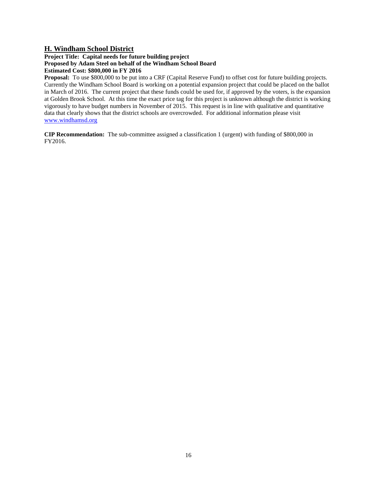## **H. Windham School District**

#### **Project Title: Capital needs for future building project Proposed by Adam Steel on behalf of the Windham School Board Estimated Cost: \$800,000 in FY 2016**

**Proposal:** To use \$800,000 to be put into a CRF (Capital Reserve Fund) to offset cost for future building projects. Currently the Windham School Board is working on a potential expansion project that could be placed on the ballot in March of 2016. The current project that these funds could be used for, if approved by the voters, is the expansion at Golden Brook School. At this time the exact price tag for this project is unknown although the district is working vigorously to have budget numbers in November of 2015. This request is in line with qualitative and quantitative data that clearly shows that the district schools are overcrowded. For additional information please visit [www.windhamsd.org](http://www.windhamsd.org/)

**CIP Recommendation:** The sub-committee assigned a classification 1 (urgent) with funding of \$800,000 in FY2016.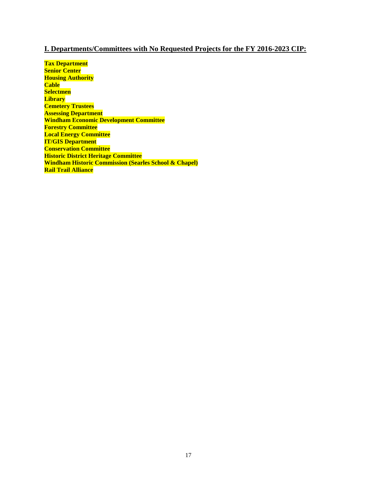# **I. Departments/Committees with No Requested Projects for the FY 2016-2023 CIP:**

**Tax Department Senior Center Housing Authority Cable Selectmen Library Cemetery Trustees Assessing Department Windham Economic Development Committee Forestry Committee Local Energy Committee IT/GIS Department Conservation Committee Historic District Heritage Committee Windham Historic Commission (Searles School & Chapel) Rail Trail Alliance**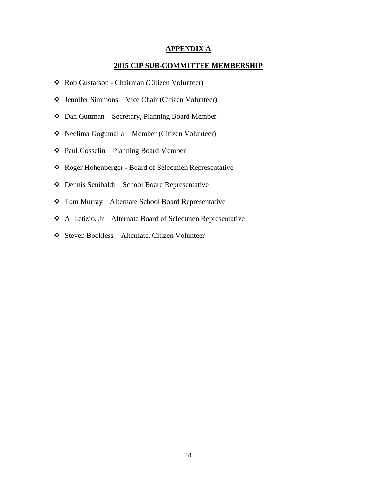#### **APPENDIX A**

#### **2015 CIP SUB-COMMITTEE MEMBERSHIP**

- \* Rob Gustafson Chairman (Citizen Volunteer)
- Jennifer Simmons Vice Chair (Citizen Volunteer)
- Dan Guttman Secretary, Planning Board Member
- Neelima Gogumalla Member (Citizen Volunteer)
- Paul Gosselin Planning Board Member
- Roger Hohenberger Board of Selectmen Representative
- Dennis Senibaldi School Board Representative
- Tom Murray Alternate School Board Representative
- Al Letizio, Jr Alternate Board of Selectmen Representative
- Steven Bookless Alternate, Citizen Volunteer